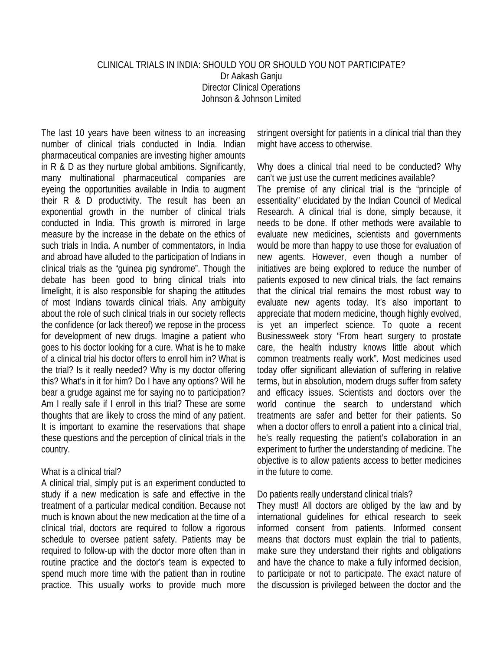# CLINICAL TRIALS IN INDIA: SHOULD YOU OR SHOULD YOU NOT PARTICIPATE? Dr Aakash Ganju Director Clinical Operations Johnson & Johnson Limited

The last 10 years have been witness to an increasing number of clinical trials conducted in India. Indian pharmaceutical companies are investing higher amounts in R & D as they nurture global ambitions. Significantly, many multinational pharmaceutical companies are eyeing the opportunities available in India to augment their R & D productivity. The result has been an exponential growth in the number of clinical trials conducted in India. This growth is mirrored in large measure by the increase in the debate on the ethics of such trials in India. A number of commentators, in India and abroad have alluded to the participation of Indians in clinical trials as the "guinea pig syndrome". Though the debate has been good to bring clinical trials into limelight, it is also responsible for shaping the attitudes of most Indians towards clinical trials. Any ambiguity about the role of such clinical trials in our society reflects the confidence (or lack thereof) we repose in the process for development of new drugs. Imagine a patient who goes to his doctor looking for a cure. What is he to make of a clinical trial his doctor offers to enroll him in? What is the trial? Is it really needed? Why is my doctor offering this? What's in it for him? Do I have any options? Will he bear a grudge against me for saying no to participation? Am I really safe if I enroll in this trial? These are some thoughts that are likely to cross the mind of any patient. It is important to examine the reservations that shape these questions and the perception of clinical trials in the country.

## What is a clinical trial?

A clinical trial, simply put is an experiment conducted to study if a new medication is safe and effective in the treatment of a particular medical condition. Because not much is known about the new medication at the time of a clinical trial, doctors are required to follow a rigorous schedule to oversee patient safety. Patients may be required to follow-up with the doctor more often than in routine practice and the doctor's team is expected to spend much more time with the patient than in routine practice. This usually works to provide much more stringent oversight for patients in a clinical trial than they might have access to otherwise.

Why does a clinical trial need to be conducted? Why can't we just use the current medicines available? The premise of any clinical trial is the "principle of essentiality" elucidated by the Indian Council of Medical Research. A clinical trial is done, simply because, it needs to be done. If other methods were available to evaluate new medicines, scientists and governments would be more than happy to use those for evaluation of new agents. However, even though a number of initiatives are being explored to reduce the number of patients exposed to new clinical trials, the fact remains that the clinical trial remains the most robust way to evaluate new agents today. It's also important to appreciate that modern medicine, though highly evolved, is yet an imperfect science. To quote a recent Businessweek story "From heart surgery to prostate care, the health industry knows little about which common treatments really work". Most medicines used today offer significant alleviation of suffering in relative terms, but in absolution, modern drugs suffer from safety and efficacy issues. Scientists and doctors over the world continue the search to understand which treatments are safer and better for their patients. So when a doctor offers to enroll a patient into a clinical trial, he's really requesting the patient's collaboration in an experiment to further the understanding of medicine. The objective is to allow patients access to better medicines in the future to come.

## Do patients really understand clinical trials?

They must! All doctors are obliged by the law and by international guidelines for ethical research to seek informed consent from patients. Informed consent means that doctors must explain the trial to patients, make sure they understand their rights and obligations and have the chance to make a fully informed decision, to participate or not to participate. The exact nature of the discussion is privileged between the doctor and the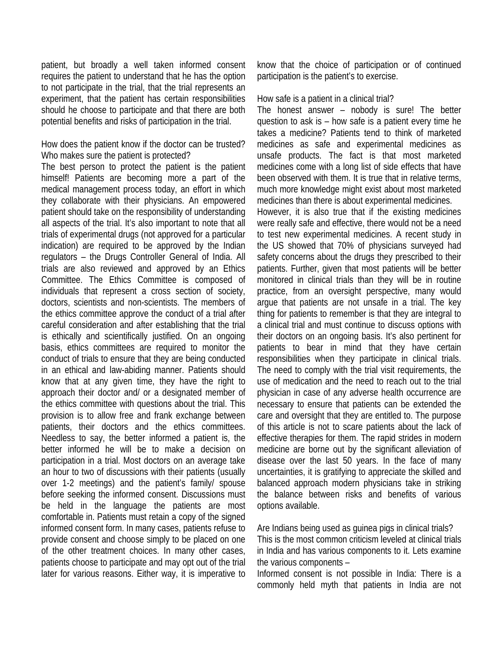patient, but broadly a well taken informed consent requires the patient to understand that he has the option to not participate in the trial, that the trial represents an experiment, that the patient has certain responsibilities should he choose to participate and that there are both potential benefits and risks of participation in the trial.

## How does the patient know if the doctor can be trusted? Who makes sure the patient is protected?

The best person to protect the patient is the patient himself! Patients are becoming more a part of the medical management process today, an effort in which they collaborate with their physicians. An empowered patient should take on the responsibility of understanding all aspects of the trial. It's also important to note that all trials of experimental drugs (not approved for a particular indication) are required to be approved by the Indian regulators – the Drugs Controller General of India. All trials are also reviewed and approved by an Ethics Committee. The Ethics Committee is composed of individuals that represent a cross section of society, doctors, scientists and non-scientists. The members of the ethics committee approve the conduct of a trial after careful consideration and after establishing that the trial is ethically and scientifically justified. On an ongoing basis, ethics committees are required to monitor the conduct of trials to ensure that they are being conducted in an ethical and law-abiding manner. Patients should know that at any given time, they have the right to approach their doctor and/ or a designated member of the ethics committee with questions about the trial. This provision is to allow free and frank exchange between patients, their doctors and the ethics committees. Needless to say, the better informed a patient is, the better informed he will be to make a decision on participation in a trial. Most doctors on an average take an hour to two of discussions with their patients (usually over 1-2 meetings) and the patient's family/ spouse before seeking the informed consent. Discussions must be held in the language the patients are most comfortable in. Patients must retain a copy of the signed informed consent form. In many cases, patients refuse to provide consent and choose simply to be placed on one of the other treatment choices. In many other cases, patients choose to participate and may opt out of the trial later for various reasons. Either way, it is imperative to know that the choice of participation or of continued participation is the patient's to exercise.

## How safe is a patient in a clinical trial?

The honest answer – nobody is sure! The better question to ask is – how safe is a patient every time he takes a medicine? Patients tend to think of marketed medicines as safe and experimental medicines as unsafe products. The fact is that most marketed medicines come with a long list of side effects that have been observed with them. It is true that in relative terms, much more knowledge might exist about most marketed medicines than there is about experimental medicines. However, it is also true that if the existing medicines were really safe and effective, there would not be a need to test new experimental medicines. A recent study in the US showed that 70% of physicians surveyed had safety concerns about the drugs they prescribed to their patients. Further, given that most patients will be better monitored in clinical trials than they will be in routine practice, from an oversight perspective, many would argue that patients are not unsafe in a trial. The key thing for patients to remember is that they are integral to a clinical trial and must continue to discuss options with their doctors on an ongoing basis. It's also pertinent for patients to bear in mind that they have certain responsibilities when they participate in clinical trials. The need to comply with the trial visit requirements, the use of medication and the need to reach out to the trial physician in case of any adverse health occurrence are necessary to ensure that patients can be extended the care and oversight that they are entitled to. The purpose of this article is not to scare patients about the lack of effective therapies for them. The rapid strides in modern medicine are borne out by the significant alleviation of disease over the last 50 years. In the face of many uncertainties, it is gratifying to appreciate the skilled and balanced approach modern physicians take in striking the balance between risks and benefits of various options available.

Are Indians being used as guinea pigs in clinical trials? This is the most common criticism leveled at clinical trials in India and has various components to it. Lets examine the various components –

Informed consent is not possible in India: There is a commonly held myth that patients in India are not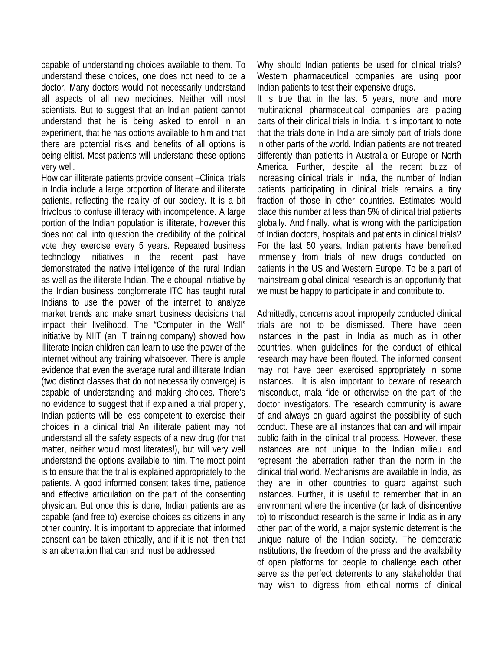capable of understanding choices available to them. To understand these choices, one does not need to be a doctor. Many doctors would not necessarily understand all aspects of all new medicines. Neither will most scientists. But to suggest that an Indian patient cannot understand that he is being asked to enroll in an experiment, that he has options available to him and that there are potential risks and benefits of all options is being elitist. Most patients will understand these options very well.

How can illiterate patients provide consent –Clinical trials in India include a large proportion of literate and illiterate patients, reflecting the reality of our society. It is a bit frivolous to confuse illiteracy with incompetence. A large portion of the Indian population is illiterate, however this does not call into question the credibility of the political vote they exercise every 5 years. Repeated business technology initiatives in the recent past have demonstrated the native intelligence of the rural Indian as well as the illiterate Indian. The e choupal initiative by the Indian business conglomerate ITC has taught rural Indians to use the power of the internet to analyze market trends and make smart business decisions that impact their livelihood. The "Computer in the Wall" initiative by NIIT (an IT training company) showed how illiterate Indian children can learn to use the power of the internet without any training whatsoever. There is ample evidence that even the average rural and illiterate Indian (two distinct classes that do not necessarily converge) is capable of understanding and making choices. There's no evidence to suggest that if explained a trial properly, Indian patients will be less competent to exercise their choices in a clinical trial An illiterate patient may not understand all the safety aspects of a new drug (for that matter, neither would most literates!), but will very well understand the options available to him. The moot point is to ensure that the trial is explained appropriately to the patients. A good informed consent takes time, patience and effective articulation on the part of the consenting physician. But once this is done, Indian patients are as capable (and free to) exercise choices as citizens in any other country. It is important to appreciate that informed consent can be taken ethically, and if it is not, then that is an aberration that can and must be addressed.

Why should Indian patients be used for clinical trials? Western pharmaceutical companies are using poor Indian patients to test their expensive drugs.

It is true that in the last 5 years, more and more multinational pharmaceutical companies are placing parts of their clinical trials in India. It is important to note that the trials done in India are simply part of trials done in other parts of the world. Indian patients are not treated differently than patients in Australia or Europe or North America. Further, despite all the recent buzz of increasing clinical trials in India, the number of Indian patients participating in clinical trials remains a tiny fraction of those in other countries. Estimates would place this number at less than 5% of clinical trial patients globally. And finally, what is wrong with the participation of Indian doctors, hospitals and patients in clinical trials? For the last 50 years, Indian patients have benefited immensely from trials of new drugs conducted on patients in the US and Western Europe. To be a part of mainstream global clinical research is an opportunity that we must be happy to participate in and contribute to.

Admittedly, concerns about improperly conducted clinical trials are not to be dismissed. There have been instances in the past, in India as much as in other countries, when guidelines for the conduct of ethical research may have been flouted. The informed consent may not have been exercised appropriately in some instances. It is also important to beware of research misconduct, mala fide or otherwise on the part of the doctor investigators. The research community is aware of and always on guard against the possibility of such conduct. These are all instances that can and will impair public faith in the clinical trial process. However, these instances are not unique to the Indian milieu and represent the aberration rather than the norm in the clinical trial world. Mechanisms are available in India, as they are in other countries to guard against such instances. Further, it is useful to remember that in an environment where the incentive (or lack of disincentive to) to misconduct research is the same in India as in any other part of the world, a major systemic deterrent is the unique nature of the Indian society. The democratic institutions, the freedom of the press and the availability of open platforms for people to challenge each other serve as the perfect deterrents to any stakeholder that may wish to digress from ethical norms of clinical